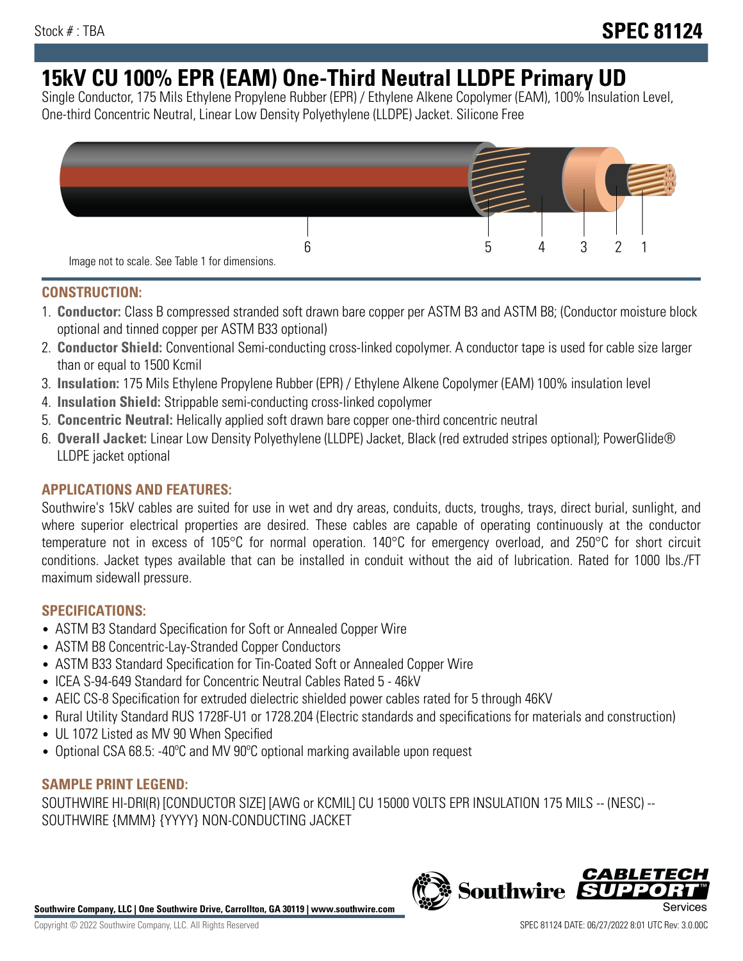# **15kV CU 100% EPR (EAM) One-Third Neutral LLDPE Primary UD**

Single Conductor, 175 Mils Ethylene Propylene Rubber (EPR) / Ethylene Alkene Copolymer (EAM), 100% Insulation Level, One-third Concentric Neutral, Linear Low Density Polyethylene (LLDPE) Jacket. Silicone Free



## **CONSTRUCTION:**

- 1. **Conductor:** Class B compressed stranded soft drawn bare copper per ASTM B3 and ASTM B8; (Conductor moisture block optional and tinned copper per ASTM B33 optional)
- 2. **Conductor Shield:** Conventional Semi-conducting cross-linked copolymer. A conductor tape is used for cable size larger than or equal to 1500 Kcmil
- 3. **Insulation:** 175 Mils Ethylene Propylene Rubber (EPR) / Ethylene Alkene Copolymer (EAM) 100% insulation level
- 4. **Insulation Shield:** Strippable semi-conducting cross-linked copolymer
- 5. **Concentric Neutral:** Helically applied soft drawn bare copper one-third concentric neutral
- 6. **Overall Jacket:** Linear Low Density Polyethylene (LLDPE) Jacket, Black (red extruded stripes optional); PowerGlide® LLDPE jacket optional

## **APPLICATIONS AND FEATURES:**

Southwire's 15kV cables are suited for use in wet and dry areas, conduits, ducts, troughs, trays, direct burial, sunlight, and where superior electrical properties are desired. These cables are capable of operating continuously at the conductor temperature not in excess of 105°C for normal operation. 140°C for emergency overload, and 250°C for short circuit conditions. Jacket types available that can be installed in conduit without the aid of lubrication. Rated for 1000 lbs./FT maximum sidewall pressure.

## **SPECIFICATIONS:**

- ASTM B3 Standard Specification for Soft or Annealed Copper Wire
- ASTM B8 Concentric-Lay-Stranded Copper Conductors
- ASTM B33 Standard Specification for Tin-Coated Soft or Annealed Copper Wire
- ICEA S-94-649 Standard for Concentric Neutral Cables Rated 5 46kV
- AEIC CS-8 Specification for extruded dielectric shielded power cables rated for 5 through 46KV
- Rural Utility Standard RUS 1728F-U1 or 1728.204 (Electric standards and specifications for materials and construction)
- UL 1072 Listed as MV 90 When Specified
- Optional CSA 68.5: -40°C and MV 90°C optional marking available upon request

# **SAMPLE PRINT LEGEND:**

SOUTHWIRE HI-DRI(R) [CONDUCTOR SIZE] [AWG or KCMIL] CU 15000 VOLTS EPR INSULATION 175 MILS -- (NESC) -- SOUTHWIRE {MMM} {YYYY} NON-CONDUCTING JACKET

**Southwire Company, LLC | One Southwire Drive, Carrollton, GA 30119 | www.southwire.com**